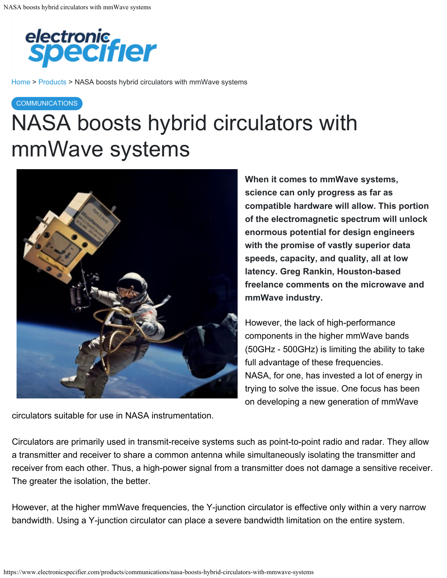

[Home](https://www.electronicspecifier.com/) > [Products](https://www.electronicspecifier.com/products/) [> NASA boosts hybrid circulators with mmWave systems](https://www.electronicspecifier.com/)

#### **COMMUNICATIONS**

# NASA boosts hybrid circulators with mmWave systems



circulators suitable for use in NASA instrumentation.

**When it comes to mmWave systems, science can only progress as far as compatible hardware will allow. This portion of the electromagnetic spectrum will unlock enormous potential for design engineers with the promise of vastly superior data speeds, capacity, and quality, all at low latency. Greg Rankin, Houston-based freelance comments on the microwave and mmWave industry.**

However, the lack of high-performance components in the higher mmWave bands (50GHz - 500GHz) is limiting the ability to take full advantage of these frequencies. NASA, for one, has invested a lot of energy in trying to solve the issue. One focus has been on developing a new generation of mmWave

Circulators are primarily used in transmit-receive systems such as point-to-point radio and radar. They allow a transmitter and receiver to share a common antenna while simultaneously isolating the transmitter and receiver from each other. Thus, a high-power signal from a transmitter does not damage a sensitive receiver. The greater the isolation, the better.

However, at the higher mmWave frequencies, the Y-junction circulator is effective only within a very narrow bandwidth. Using a Y-junction circulator can place a severe bandwidth limitation on the entire system.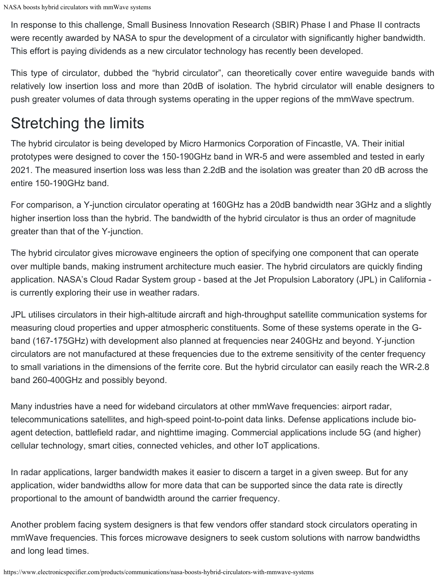In response to this challenge, Small Business Innovation Research (SBIR) Phase I and Phase II contracts were recently awarded by NASA to spur the development of a circulator with significantly higher bandwidth. This effort is paying dividends as a new circulator technology has recently been developed.

This type of circulator, dubbed the "hybrid circulator", can theoretically cover entire waveguide bands with relatively low insertion loss and more than 20dB of isolation. The hybrid circulator will enable designers to push greater volumes of data through systems operating in the upper regions of the mmWave spectrum.

### Stretching the limits

The hybrid circulator is being developed by Micro Harmonics Corporation of Fincastle, VA. Their initial prototypes were designed to cover the 150-190GHz band in WR-5 and were assembled and tested in early 2021. The measured insertion loss was less than 2.2dB and the isolation was greater than 20 dB across the entire 150-190GHz band.

For comparison, a Y-junction circulator operating at 160GHz has a 20dB bandwidth near 3GHz and a slightly higher insertion loss than the hybrid. The bandwidth of the hybrid circulator is thus an order of magnitude greater than that of the Y-junction.

The hybrid circulator gives microwave engineers the option of specifying one component that can operate over multiple bands, making instrument architecture much easier. The hybrid circulators are quickly finding application. NASA's Cloud Radar System group - based at the Jet Propulsion Laboratory (JPL) in California is currently exploring their use in weather radars.

JPL utilises circulators in their high-altitude aircraft and high-throughput satellite communication systems for measuring cloud properties and upper atmospheric constituents. Some of these systems operate in the Gband (167-175GHz) with development also planned at frequencies near 240GHz and beyond. Y-junction circulators are not manufactured at these frequencies due to the extreme sensitivity of the center frequency to small variations in the dimensions of the ferrite core. But the hybrid circulator can easily reach the WR-2.8 band 260-400GHz and possibly beyond.

Many industries have a need for wideband circulators at other mmWave frequencies: airport radar, telecommunications satellites, and high-speed point-to-point data links. Defense applications include bioagent detection, battlefield radar, and nighttime imaging. Commercial applications include 5G (and higher) cellular technology, smart cities, connected vehicles, and other IoT applications.

In radar applications, larger bandwidth makes it easier to discern a target in a given sweep. But for any application, wider bandwidths allow for more data that can be supported since the data rate is directly proportional to the amount of bandwidth around the carrier frequency.

Another problem facing system designers is that few vendors offer standard stock circulators operating in mmWave frequencies. This forces microwave designers to seek custom solutions with narrow bandwidths and long lead times.